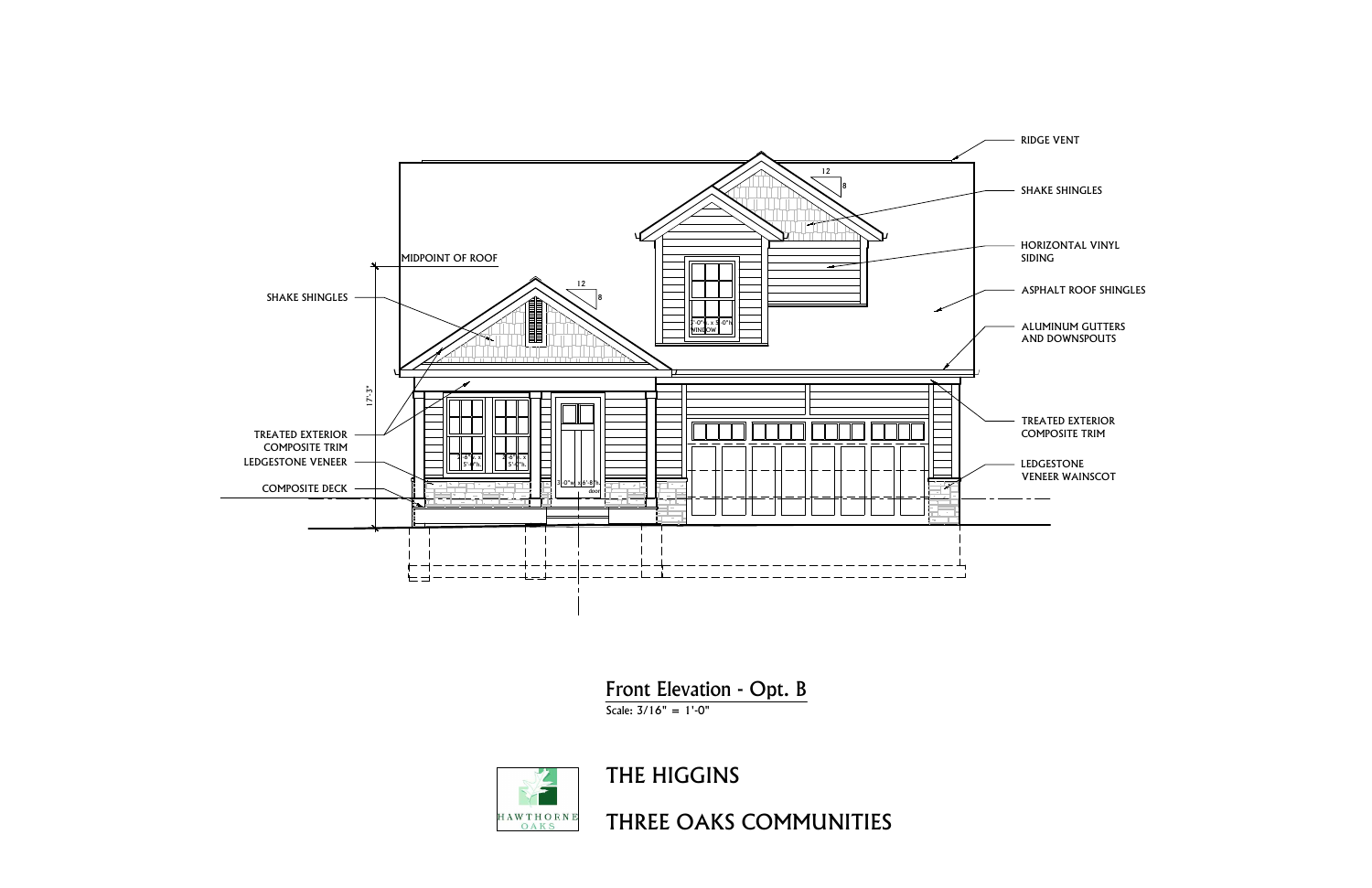

Front Elevation - Opt. B



- 
- 
- 
- 
- ASPHALT ROOF SHING<br>ALUMINUM GUTTERS ALUMINUM GUTTE<br>AND DOWNSPOUTS
- TREATED EXTERIOR TREATED EXTERIC<br>TREATED EXTERIC<br>COMPOSITE TRIM COMPOSITE TRIM<br>LEDGESTONE
-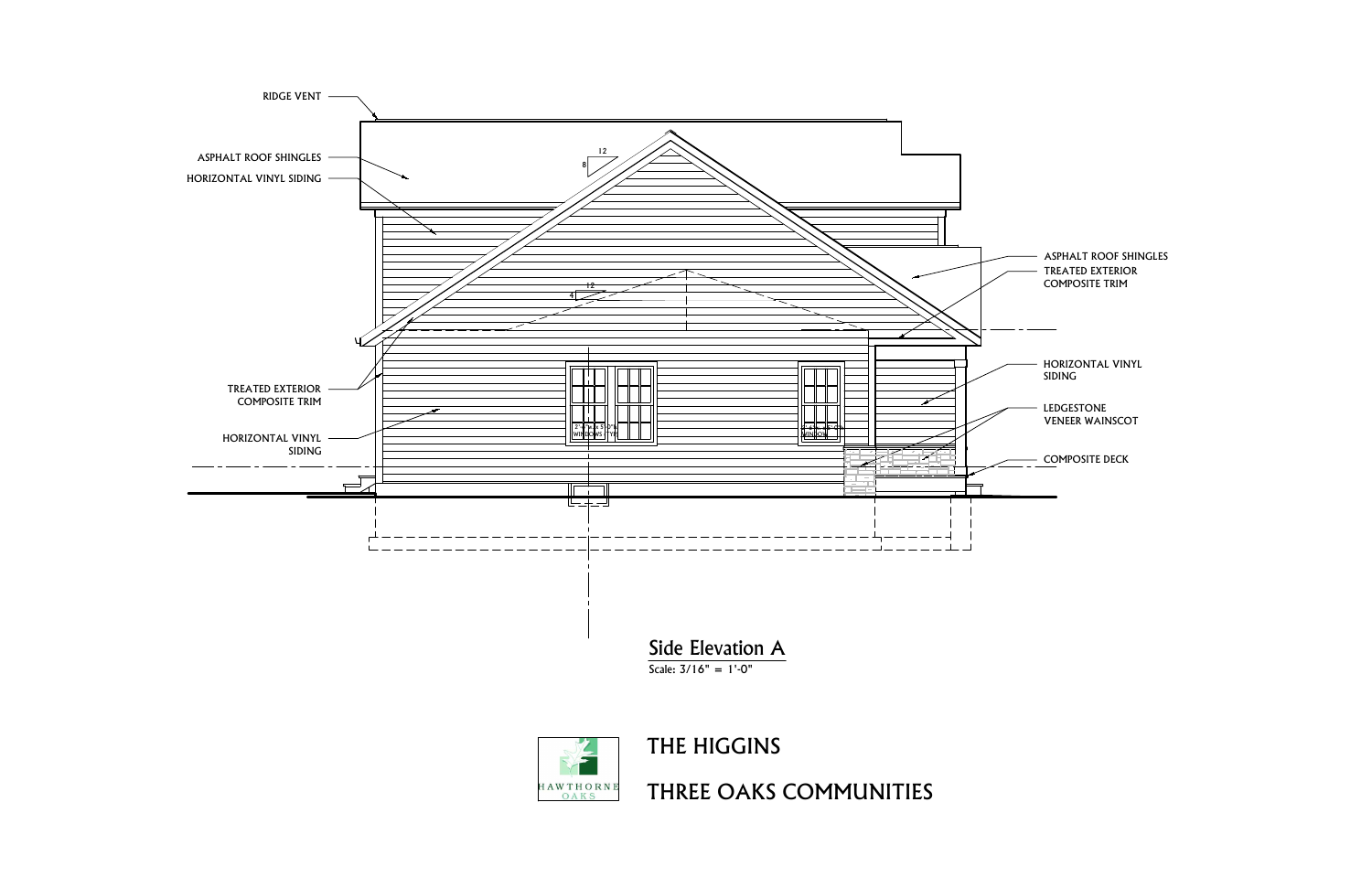



| <b>ASPHALT ROOF SHINGLE</b><br><b>TREATED EXTERIOR</b><br><b>COMPOSITE TRIM</b> |
|---------------------------------------------------------------------------------|
| HORIZONTAL VINYL<br>SIDING                                                      |
| LEDGESTONE<br><b>VENEER WAINSCOT</b>                                            |
| <b>COMPOSITE DECK</b>                                                           |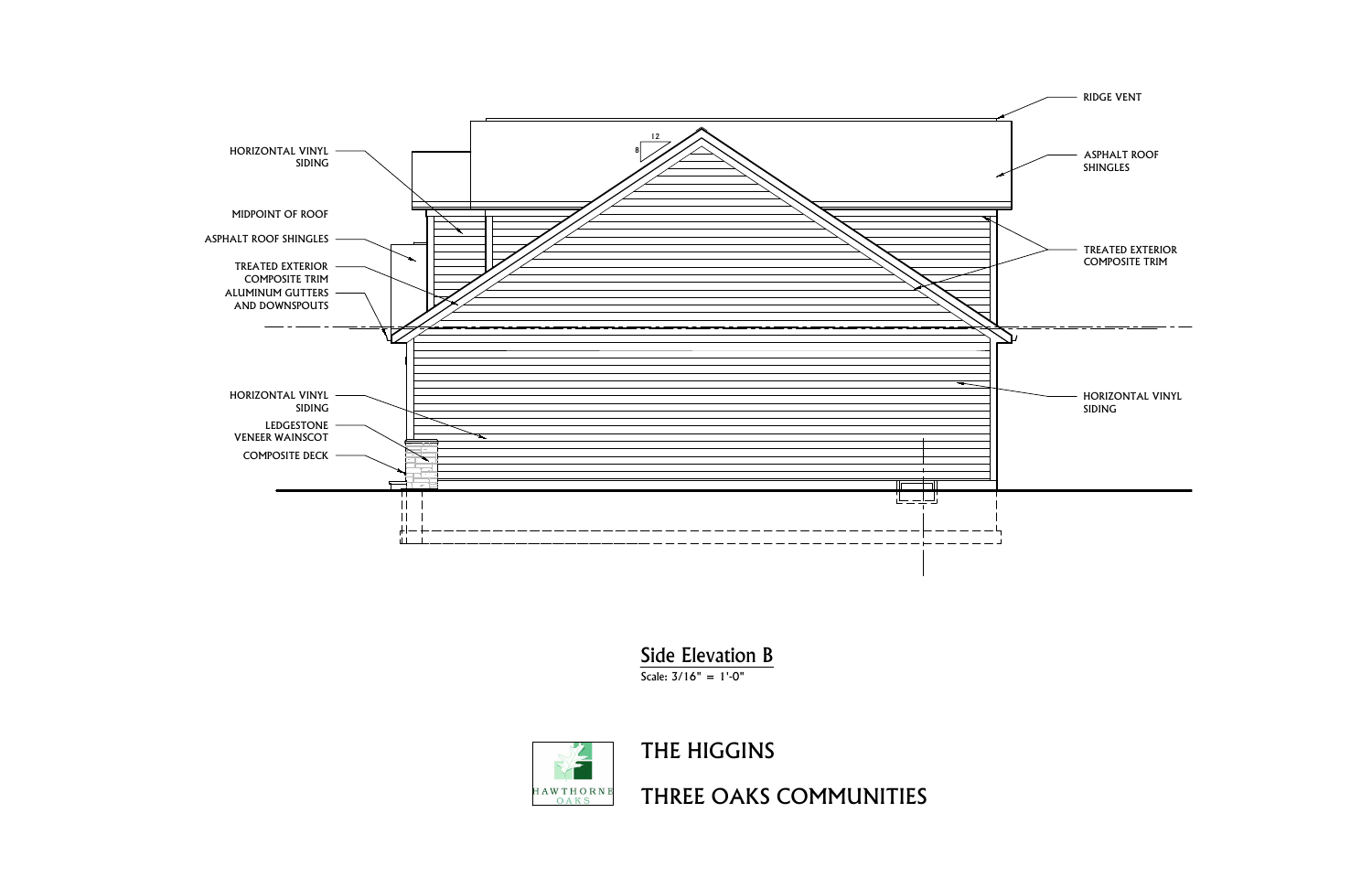

Side Elevation B